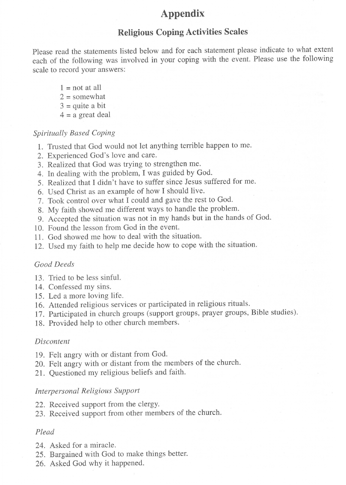## Appendix

### Religious Coping Activities Scales

please read the statements listed below and for each statement please indicate to what extent each of the following was involved in your coping with the event. Please use the following scale to record your answers:

- $1 =$  not at all  $2 =$ somewhat
- $3 =$ quite a bit
- $4$  = a great deal

#### Spiritually Based Coping

- 1. Trusted that God would not let anything terrible happen to me.
- 2. Experienced God's love and care.
- 3. Realized that God was trying to strengthen me.
- 4. In dealing with the problem, I was guided by God.
- 5. Realized that I didn't have to suffer since Jesus suffered for me.
- 6. Used Christ as an example of how I should live.
- 7. Took control over what I could and gave the rest to God.
- 8. My faith showed me different ways to handle the problem.
- 9. Accepted the situation was not in my hands but in the hands of God.
- 10. Found the lesson from God in the event.
- 11. God showed me how to deal with the situation.
- 12. Used my faith to help me decide how to cope with the situation.

#### Good Deeds

- 13. Tried to be less sinful.
- 14. Confessed my sins.
- 15. Led a more loving life.
- 16. Attended religious services or participated in religious rituals.
- 17. Participated in church groups (support groups, prayer groups, Bible studies).
- 18. Provided help to other church members.

#### Discontent

- 19. Felt angry with or distant from God.
- 20. Felt angry with or distant from the members of the church.
- 21. Questioned my religious beliefs and faith'

#### Interpersonal Religious Support

- 22. Received support from the clergy.
- 23. Received support from other members of the church.

#### Plead

- 24. Asked for a miracle.
- 25. Bargained with God to make things better.
- 26. Asked God why it happened.